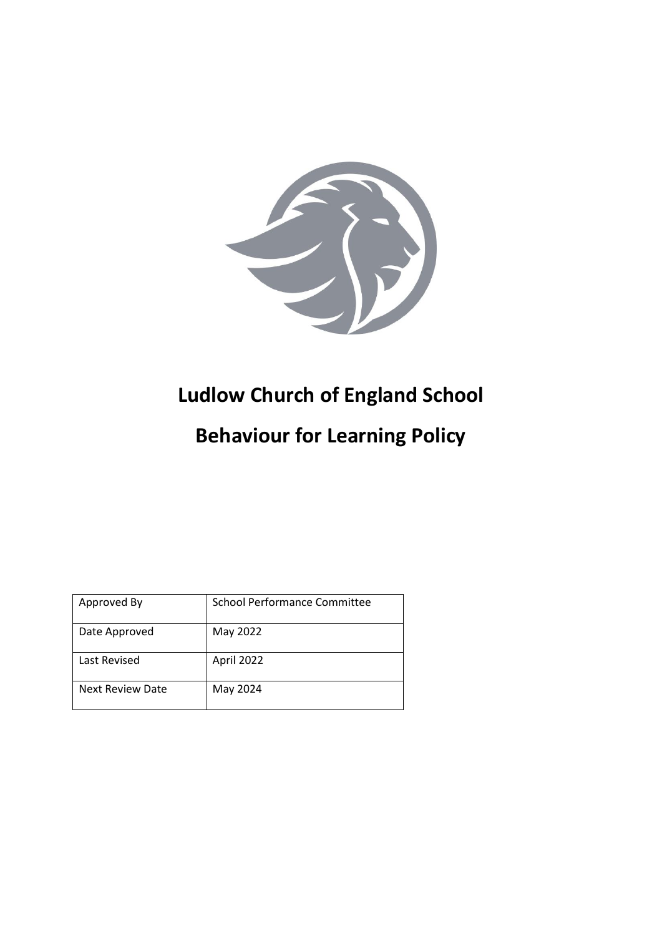

# **Ludlow Church of England School**

# **Behaviour for Learning Policy**

| Approved By      | <b>School Performance Committee</b> |
|------------------|-------------------------------------|
| Date Approved    | May 2022                            |
| Last Revised     | April 2022                          |
| Next Review Date | May 2024                            |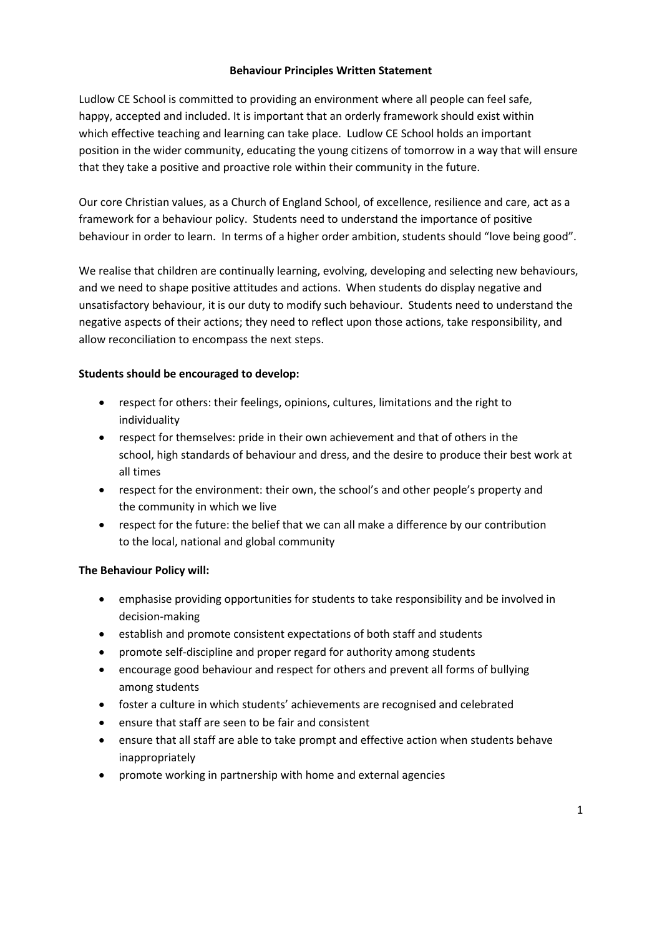## **Behaviour Principles Written Statement**

Ludlow CE School is committed to providing an environment where all people can feel safe, happy, accepted and included. It is important that an orderly framework should exist within which effective teaching and learning can take place. Ludlow CE School holds an important position in the wider community, educating the young citizens of tomorrow in a way that will ensure that they take a positive and proactive role within their community in the future.

Our core Christian values, as a Church of England School, of excellence, resilience and care, act as a framework for a behaviour policy. Students need to understand the importance of positive behaviour in order to learn. In terms of a higher order ambition, students should "love being good".

We realise that children are continually learning, evolving, developing and selecting new behaviours, and we need to shape positive attitudes and actions. When students do display negative and unsatisfactory behaviour, it is our duty to modify such behaviour. Students need to understand the negative aspects of their actions; they need to reflect upon those actions, take responsibility, and allow reconciliation to encompass the next steps.

# **Students should be encouraged to develop:**

- respect for others: their feelings, opinions, cultures, limitations and the right to individuality
- respect for themselves: pride in their own achievement and that of others in the school, high standards of behaviour and dress, and the desire to produce their best work at all times
- respect for the environment: their own, the school's and other people's property and the community in which we live
- respect for the future: the belief that we can all make a difference by our contribution to the local, national and global community

# **The Behaviour Policy will:**

- emphasise providing opportunities for students to take responsibility and be involved in decision-making
- establish and promote consistent expectations of both staff and students
- promote self-discipline and proper regard for authority among students
- encourage good behaviour and respect for others and prevent all forms of bullying among students
- foster a culture in which students' achievements are recognised and celebrated
- ensure that staff are seen to be fair and consistent
- ensure that all staff are able to take prompt and effective action when students behave inappropriately
- promote working in partnership with home and external agencies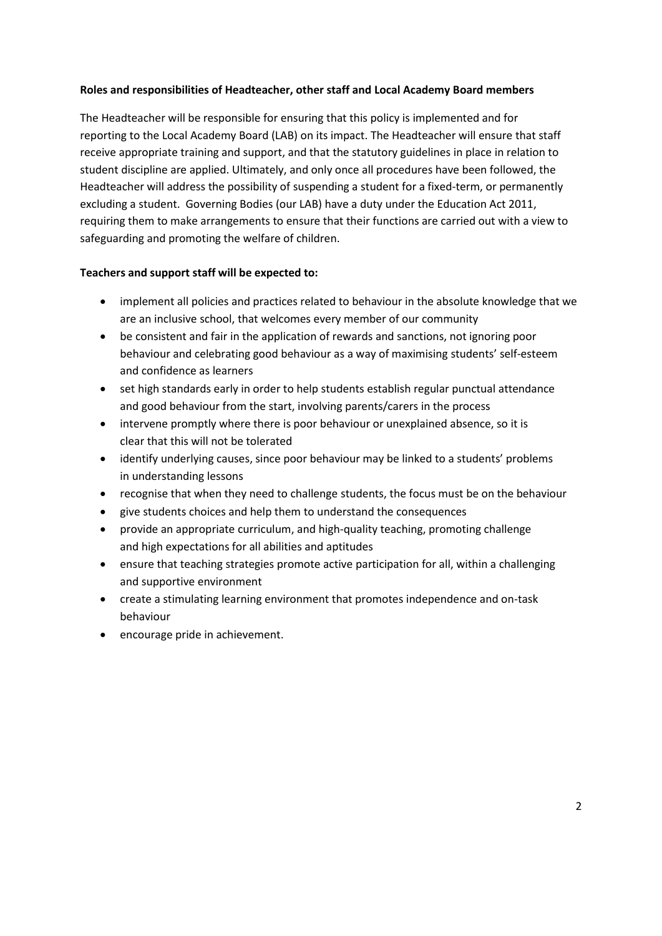# **Roles and responsibilities of Headteacher, other staff and Local Academy Board members**

The Headteacher will be responsible for ensuring that this policy is implemented and for reporting to the Local Academy Board (LAB) on its impact. The Headteacher will ensure that staff receive appropriate training and support, and that the statutory guidelines in place in relation to student discipline are applied. Ultimately, and only once all procedures have been followed, the Headteacher will address the possibility of suspending a student for a fixed-term, or permanently excluding a student. Governing Bodies (our LAB) have a duty under the Education Act 2011, requiring them to make arrangements to ensure that their functions are carried out with a view to safeguarding and promoting the welfare of children.

### **Teachers and support staff will be expected to:**

- implement all policies and practices related to behaviour in the absolute knowledge that we are an inclusive school, that welcomes every member of our community
- be consistent and fair in the application of rewards and sanctions, not ignoring poor behaviour and celebrating good behaviour as a way of maximising students' self-esteem and confidence as learners
- set high standards early in order to help students establish regular punctual attendance and good behaviour from the start, involving parents/carers in the process
- intervene promptly where there is poor behaviour or unexplained absence, so it is clear that this will not be tolerated
- identify underlying causes, since poor behaviour may be linked to a students' problems in understanding lessons
- recognise that when they need to challenge students, the focus must be on the behaviour
- give students choices and help them to understand the consequences
- provide an appropriate curriculum, and high-quality teaching, promoting challenge and high expectations for all abilities and aptitudes
- ensure that teaching strategies promote active participation for all, within a challenging and supportive environment
- create a stimulating learning environment that promotes independence and on-task behaviour
- encourage pride in achievement.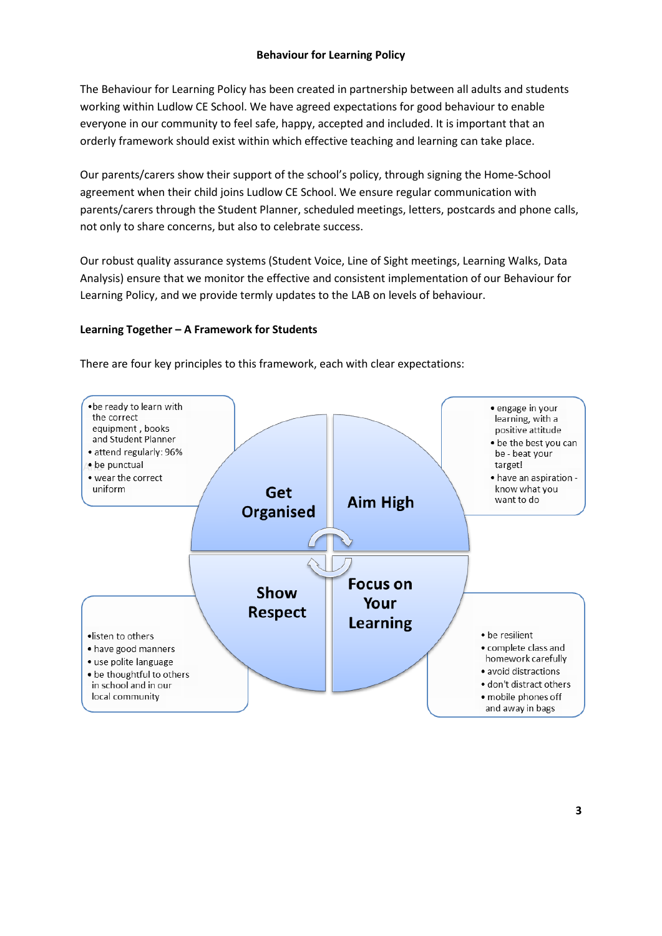# **Behaviour for Learning Policy**

The Behaviour for Learning Policy has been created in partnership between all adults and students working within Ludlow CE School. We have agreed expectations for good behaviour to enable everyone in our community to feel safe, happy, accepted and included. It is important that an orderly framework should exist within which effective teaching and learning can take place.

Our parents/carers show their support of the school's policy, through signing the Home-School agreement when their child joins Ludlow CE School. We ensure regular communication with parents/carers through the Student Planner, scheduled meetings, letters, postcards and phone calls, not only to share concerns, but also to celebrate success.

Our robust quality assurance systems (Student Voice, Line of Sight meetings, Learning Walks, Data Analysis) ensure that we monitor the effective and consistent implementation of our Behaviour for Learning Policy, and we provide termly updates to the LAB on levels of behaviour.

### **Learning Together – A Framework for Students**



There are four key principles to this framework, each with clear expectations: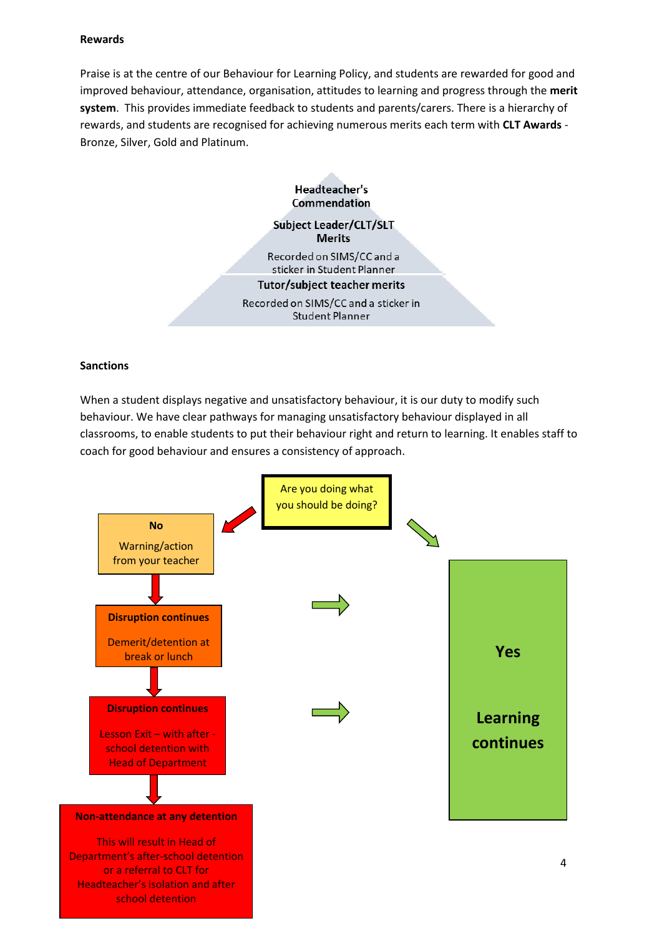#### **Rewards**

Praise is at the centre of our Behaviour for Learning Policy, and students are rewarded for good and improved behaviour, attendance, organisation, attitudes to learning and progress through the **merit system**. This provides immediate feedback to students and parents/carers. There is a hierarchy of rewards, and students are recognised for achieving numerous merits each term with **CLT Awards** - Bronze, Silver, Gold and Platinum.

# Headteacher's Commendation

# **Subject Leader/CLT/SLT Merits** Recorded on SIMS/CC and a sticker in Student Planner Tutor/subject teacher merits

Recorded on SIMS/CC and a sticker in **Student Planner** 

### **Sanctions**

When a student displays negative and unsatisfactory behaviour, it is our duty to modify such behaviour. We have clear pathways for managing unsatisfactory behaviour displayed in all classrooms, to enable students to put their behaviour right and return to learning. It enables staff to coach for good behaviour and ensures a consistency of approach.

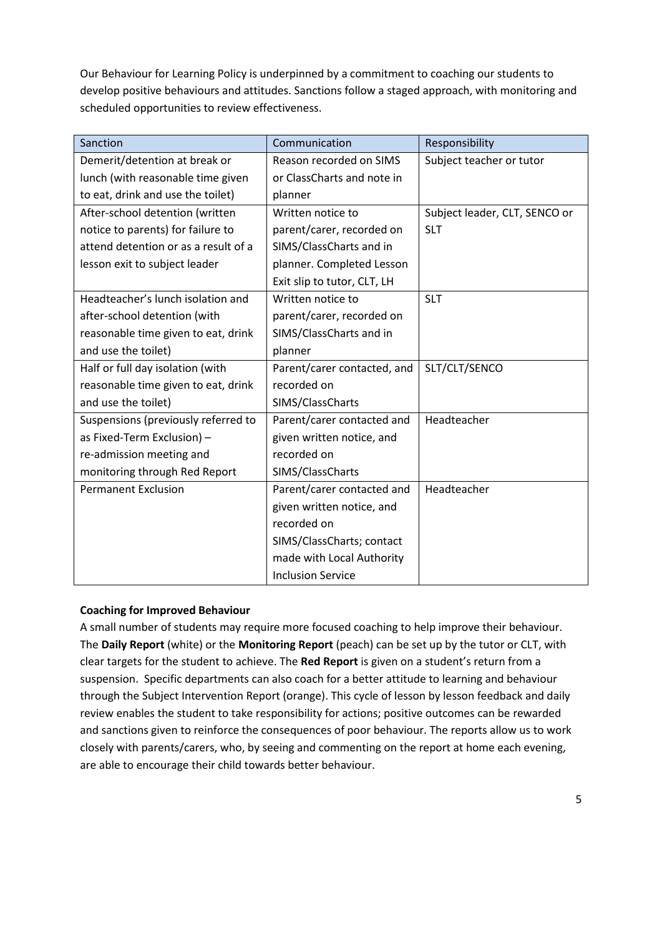Our Behaviour for Learning Policy is underpinned by a commitment to coaching our students to develop positive behaviours and attitudes. Sanctions follow a staged approach, with monitoring and scheduled opportunities to review effectiveness.

| Sanction                             | Communication               | Responsibility                |
|--------------------------------------|-----------------------------|-------------------------------|
| Demerit/detention at break or        | Reason recorded on SIMS     | Subject teacher or tutor      |
| lunch (with reasonable time given    | or ClassCharts and note in  |                               |
| to eat, drink and use the toilet)    | planner                     |                               |
| After-school detention (written      | Written notice to           | Subject leader, CLT, SENCO or |
| notice to parents) for failure to    | parent/carer, recorded on   | <b>SLT</b>                    |
| attend detention or as a result of a | SIMS/ClassCharts and in     |                               |
| lesson exit to subject leader        | planner. Completed Lesson   |                               |
|                                      | Exit slip to tutor, CLT, LH |                               |
| Headteacher's lunch isolation and    | Written notice to           | <b>SLT</b>                    |
| after-school detention (with         | parent/carer, recorded on   |                               |
| reasonable time given to eat, drink  | SIMS/ClassCharts and in     |                               |
| and use the toilet)                  | planner                     |                               |
| Half or full day isolation (with     | Parent/carer contacted, and | SLT/CLT/SENCO                 |
| reasonable time given to eat, drink  | recorded on                 |                               |
| and use the toilet)                  | SIMS/ClassCharts            |                               |
| Suspensions (previously referred to  | Parent/carer contacted and  | Headteacher                   |
| as Fixed-Term Exclusion) -           | given written notice, and   |                               |
| re-admission meeting and             | recorded on                 |                               |
| monitoring through Red Report        | SIMS/ClassCharts            |                               |
| <b>Permanent Exclusion</b>           | Parent/carer contacted and  | Headteacher                   |
|                                      | given written notice, and   |                               |
|                                      | recorded on                 |                               |
|                                      | SIMS/ClassCharts; contact   |                               |
|                                      | made with Local Authority   |                               |
|                                      | <b>Inclusion Service</b>    |                               |

# **Coaching for Improved Behaviour**

A small number of students may require more focused coaching to help improve their behaviour. The **Daily Report** (white) or the **Monitoring Report** (peach) can be set up by the tutor or CLT, with clear targets for the student to achieve. The **Red Report** is given on a student's return from a suspension. Specific departments can also coach for a better attitude to learning and behaviour through the Subject Intervention Report (orange). This cycle of lesson by lesson feedback and daily review enables the student to take responsibility for actions; positive outcomes can be rewarded and sanctions given to reinforce the consequences of poor behaviour. The reports allow us to work closely with parents/carers, who, by seeing and commenting on the report at home each evening, are able to encourage their child towards better behaviour.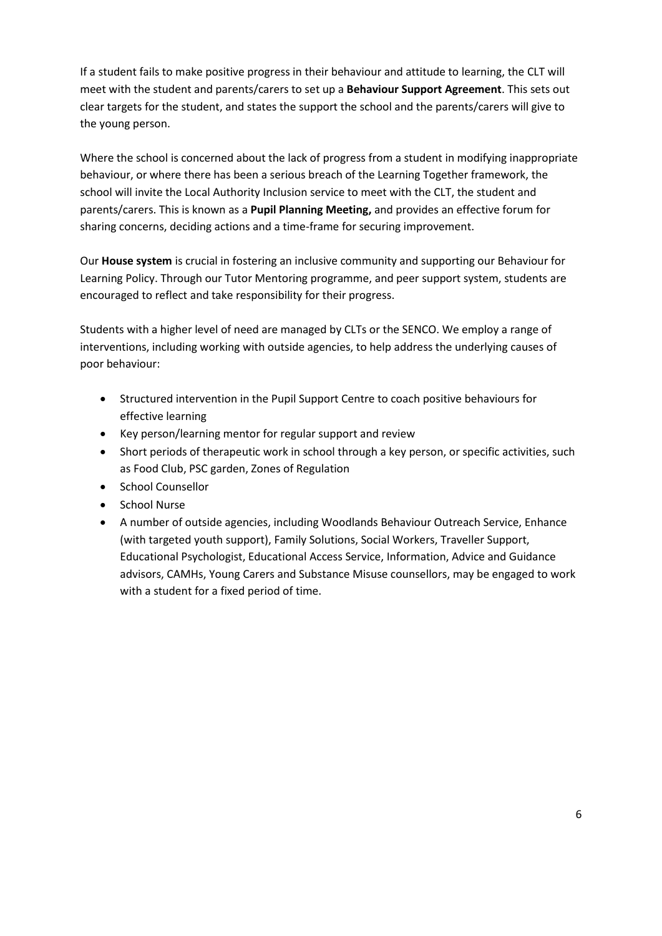If a student fails to make positive progress in their behaviour and attitude to learning, the CLT will meet with the student and parents/carers to set up a **Behaviour Support Agreement**. This sets out clear targets for the student, and states the support the school and the parents/carers will give to the young person.

Where the school is concerned about the lack of progress from a student in modifying inappropriate behaviour, or where there has been a serious breach of the Learning Together framework, the school will invite the Local Authority Inclusion service to meet with the CLT, the student and parents/carers. This is known as a **Pupil Planning Meeting,** and provides an effective forum for sharing concerns, deciding actions and a time-frame for securing improvement.

Our **House system** is crucial in fostering an inclusive community and supporting our Behaviour for Learning Policy. Through our Tutor Mentoring programme, and peer support system, students are encouraged to reflect and take responsibility for their progress.

Students with a higher level of need are managed by CLTs or the SENCO. We employ a range of interventions, including working with outside agencies, to help address the underlying causes of poor behaviour:

- Structured intervention in the Pupil Support Centre to coach positive behaviours for effective learning
- Key person/learning mentor for regular support and review
- Short periods of therapeutic work in school through a key person, or specific activities, such as Food Club, PSC garden, Zones of Regulation
- School Counsellor
- School Nurse
- A number of outside agencies, including Woodlands Behaviour Outreach Service, Enhance (with targeted youth support), Family Solutions, Social Workers, Traveller Support, Educational Psychologist, Educational Access Service, Information, Advice and Guidance advisors, CAMHs, Young Carers and Substance Misuse counsellors, may be engaged to work with a student for a fixed period of time.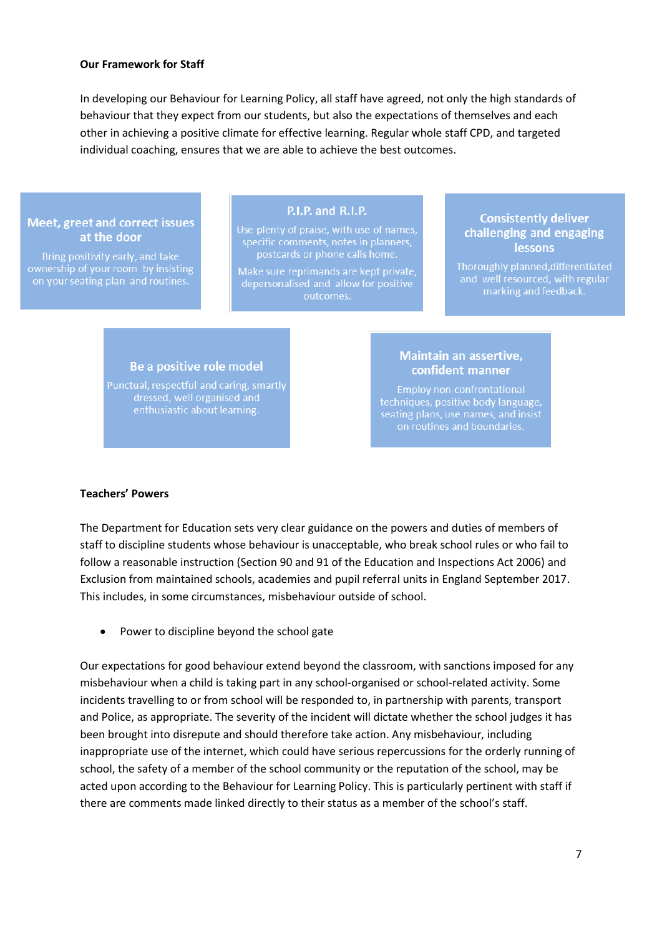#### **Our Framework for Staff**

In developing our Behaviour for Learning Policy, all staff have agreed, not only the high standards of behaviour that they expect from our students, but also the expectations of themselves and each other in achieving a positive climate for effective learning. Regular whole staff CPD, and targeted individual coaching, ensures that we are able to achieve the best outcomes.

#### **Meet, greet and correct issues** at the door

Bring positivity early, and take on your seating plan and routines.

# P.I.P. and R.I.P.

Use plenty of praise, with use of names,

Make sure reprimands are kept private, depersonalised and allow for positive

# **Consistently deliver** challenging and engaging lessons

Thoroughly planned, differentiated

#### Be a positive role model

Punctual, respectful and caring, smartly dressed, well organised and enthusiastic about learning.

Maintain an assertive, confident manner

techniques, positive body language, seating plans, use names, and insist on routines and boundaries.

#### **Teachers' Powers**

The Department for Education sets very clear guidance on the powers and duties of members of staff to discipline students whose behaviour is unacceptable, who break school rules or who fail to follow a reasonable instruction (Section 90 and 91 of the Education and Inspections Act 2006) and Exclusion from maintained schools, academies and pupil referral units in England September 2017. This includes, in some circumstances, misbehaviour outside of school.

• Power to discipline beyond the school gate

Our expectations for good behaviour extend beyond the classroom, with sanctions imposed for any misbehaviour when a child is taking part in any school-organised or school-related activity. Some incidents travelling to or from school will be responded to, in partnership with parents, transport and Police, as appropriate. The severity of the incident will dictate whether the school judges it has been brought into disrepute and should therefore take action. Any misbehaviour, including inappropriate use of the internet, which could have serious repercussions for the orderly running of school, the safety of a member of the school community or the reputation of the school, may be acted upon according to the Behaviour for Learning Policy. This is particularly pertinent with staff if there are comments made linked directly to their status as a member of the school's staff.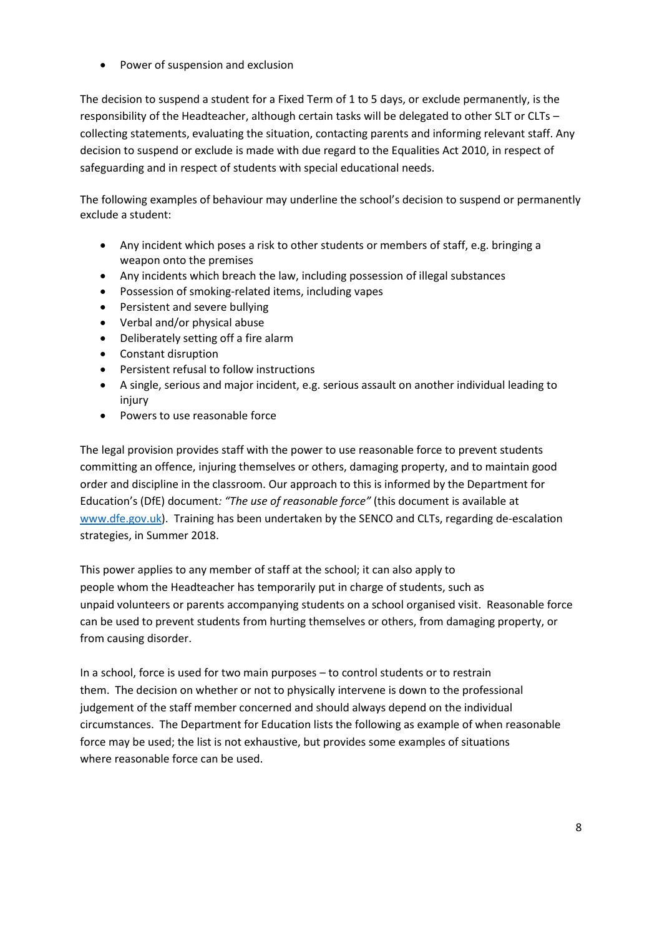• Power of suspension and exclusion

The decision to suspend a student for a Fixed Term of 1 to 5 days, or exclude permanently, is the responsibility of the Headteacher, although certain tasks will be delegated to other SLT or CLTs – collecting statements, evaluating the situation, contacting parents and informing relevant staff. Any decision to suspend or exclude is made with due regard to the Equalities Act 2010, in respect of safeguarding and in respect of students with special educational needs.

The following examples of behaviour may underline the school's decision to suspend or permanently exclude a student:

- Any incident which poses a risk to other students or members of staff, e.g. bringing a weapon onto the premises
- Any incidents which breach the law, including possession of illegal substances
- Possession of smoking-related items, including vapes
- Persistent and severe bullying
- Verbal and/or physical abuse
- Deliberately setting off a fire alarm
- Constant disruption
- Persistent refusal to follow instructions
- A single, serious and major incident, e.g. serious assault on another individual leading to injury
- Powers to use reasonable force

The legal provision provides staff with the power to use reasonable force to prevent students committing an offence, injuring themselves or others, damaging property, and to maintain good order and discipline in the classroom. Our approach to this is informed by the Department for Education's (DfE) document*: "The use of reasonable force"* (this document is available at [www.dfe.gov.uk\)](http://www.dfe.gov.uk/). Training has been undertaken by the SENCO and CLTs, regarding de-escalation strategies, in Summer 2018.

This power applies to any member of staff at the school; it can also apply to people whom the Headteacher has temporarily put in charge of students, such as unpaid volunteers or parents accompanying students on a school organised visit. Reasonable force can be used to prevent students from hurting themselves or others, from damaging property, or from causing disorder.

In a school, force is used for two main purposes – to control students or to restrain them. The decision on whether or not to physically intervene is down to the professional judgement of the staff member concerned and should always depend on the individual circumstances. The Department for Education lists the following as example of when reasonable force may be used; the list is not exhaustive, but provides some examples of situations where reasonable force can be used.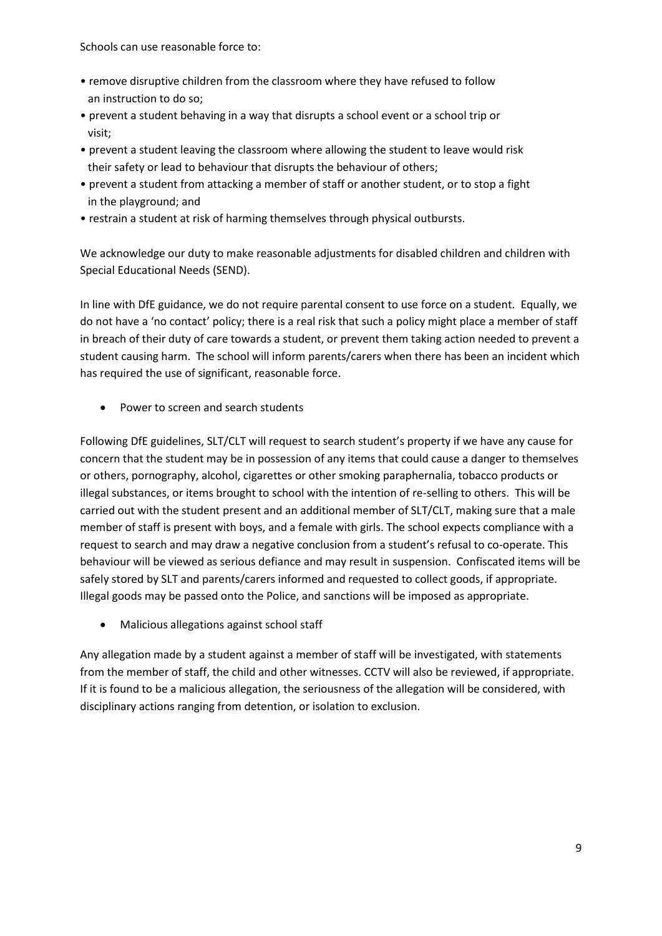Schools can use reasonable force to:

- remove disruptive children from the classroom where they have refused to follow an instruction to do so;
- prevent a student behaving in a way that disrupts a school event or a school trip or visit;
- prevent a student leaving the classroom where allowing the student to leave would risk their safety or lead to behaviour that disrupts the behaviour of others;
- prevent a student from attacking a member of staff or another student, or to stop a fight in the playground; and
- restrain a student at risk of harming themselves through physical outbursts.

We acknowledge our duty to make reasonable adjustments for disabled children and children with Special Educational Needs (SEND).

In line with DfE guidance, we do not require parental consent to use force on a student. Equally, we do not have a 'no contact' policy; there is a real risk that such a policy might place a member of staff in breach of their duty of care towards a student, or prevent them taking action needed to prevent a student causing harm. The school will inform parents/carers when there has been an incident which has required the use of significant, reasonable force.

• Power to screen and search students

Following DfE guidelines, SLT/CLT will request to search student's property if we have any cause for concern that the student may be in possession of any items that could cause a danger to themselves or others, pornography, alcohol, cigarettes or other smoking paraphernalia, tobacco products or illegal substances, or items brought to school with the intention of re-selling to others. This will be carried out with the student present and an additional member of SLT/CLT, making sure that a male member of staff is present with boys, and a female with girls. The school expects compliance with a request to search and may draw a negative conclusion from a student's refusal to co-operate. This behaviour will be viewed as serious defiance and may result in suspension. Confiscated items will be safely stored by SLT and parents/carers informed and requested to collect goods, if appropriate. Illegal goods may be passed onto the Police, and sanctions will be imposed as appropriate.

Malicious allegations against school staff

Any allegation made by a student against a member of staff will be investigated, with statements from the member of staff, the child and other witnesses. CCTV will also be reviewed, if appropriate. If it is found to be a malicious allegation, the seriousness of the allegation will be considered, with disciplinary actions ranging from detention, or isolation to exclusion.